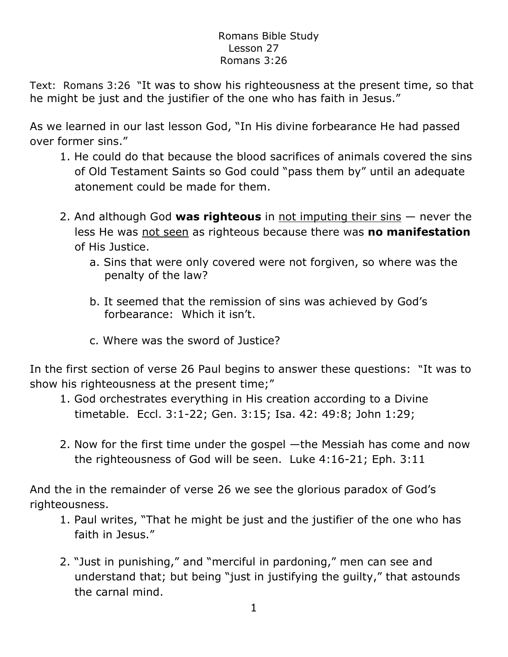Text: Romans 3:26 "It was to show his righteousness at the present time, so that he might be just and the justifier of the one who has faith in Jesus."

As we learned in our last lesson God, "In His divine forbearance He had passed over former sins."

- 1. He could do that because the blood sacrifices of animals covered the sins of Old Testament Saints so God could "pass them by" until an adequate atonement could be made for them.
- 2. And although God **was righteous** in not imputing their sins never the less He was not seen as righteous because there was **no manifestation** of His Justice.
	- a. Sins that were only covered were not forgiven, so where was the penalty of the law?
	- b. It seemed that the remission of sins was achieved by God's forbearance: Which it isn't.
	- c. Where was the sword of Justice?

In the first section of verse 26 Paul begins to answer these questions: "It was to show his righteousness at the present time;"

- 1. God orchestrates everything in His creation according to a Divine timetable. Eccl. 3:1-22; Gen. 3:15; Isa. 42: 49:8; John 1:29;
- 2. Now for the first time under the gospel —the Messiah has come and now the righteousness of God will be seen. Luke 4:16-21; Eph. 3:11

And the in the remainder of verse 26 we see the glorious paradox of God's righteousness.

- 1. Paul writes, "That he might be just and the justifier of the one who has faith in Jesus."
- 2. "Just in punishing," and "merciful in pardoning," men can see and understand that; but being "just in justifying the guilty," that astounds the carnal mind.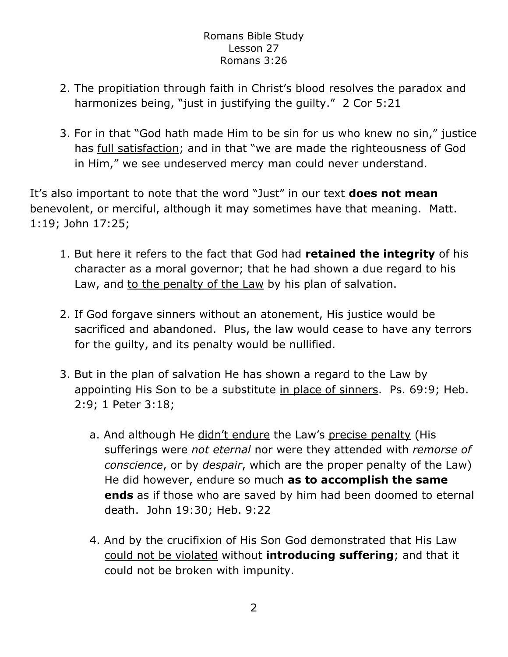- 2. The propitiation through faith in Christ's blood resolves the paradox and harmonizes being, "just in justifying the guilty." 2 Cor 5:21
- 3. For in that "God hath made Him to be sin for us who knew no sin," justice has full satisfaction; and in that "we are made the righteousness of God in Him," we see undeserved mercy man could never understand.

It's also important to note that the word "Just" in our text **does not mean** benevolent, or merciful, although it may sometimes have that meaning. Matt. 1:19; John 17:25;

- 1. But here it refers to the fact that God had **retained the integrity** of his character as a moral governor; that he had shown a due regard to his Law, and to the penalty of the Law by his plan of salvation.
- 2. If God forgave sinners without an atonement, His justice would be sacrificed and abandoned. Plus, the law would cease to have any terrors for the guilty, and its penalty would be nullified.
- 3. But in the plan of salvation He has shown a regard to the Law by appointing His Son to be a substitute in place of sinners. Ps. 69:9; Heb. 2:9; 1 Peter 3:18;
	- a. And although He didn't endure the Law's precise penalty (His sufferings were *not eternal* nor were they attended with *remorse of conscience*, or by *despair*, which are the proper penalty of the Law) He did however, endure so much **as to accomplish the same ends** as if those who are saved by him had been doomed to eternal death. John 19:30; Heb. 9:22
	- 4. And by the crucifixion of His Son God demonstrated that His Law could not be violated without **introducing suffering**; and that it could not be broken with impunity.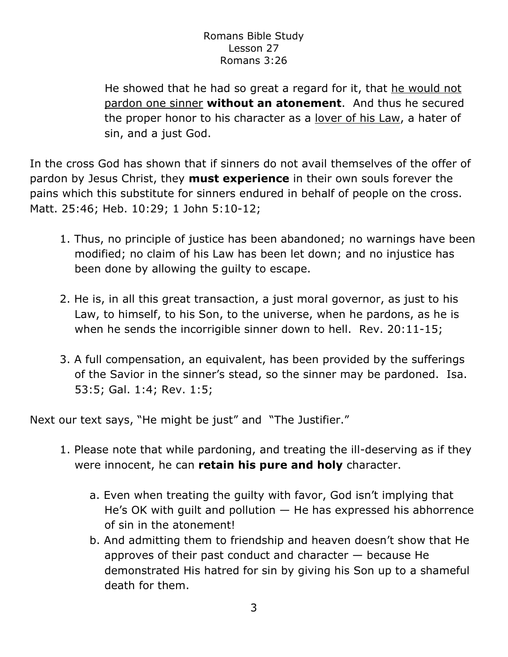He showed that he had so great a regard for it, that he would not pardon one sinner **without an atonement**. And thus he secured the proper honor to his character as a lover of his Law, a hater of sin, and a just God.

In the cross God has shown that if sinners do not avail themselves of the offer of pardon by Jesus Christ, they **must experience** in their own souls forever the pains which this substitute for sinners endured in behalf of people on the cross. Matt. 25:46; Heb. 10:29; 1 John 5:10-12;

- 1. Thus, no principle of justice has been abandoned; no warnings have been modified; no claim of his Law has been let down; and no injustice has been done by allowing the guilty to escape.
- 2. He is, in all this great transaction, a just moral governor, as just to his Law, to himself, to his Son, to the universe, when he pardons, as he is when he sends the incorrigible sinner down to hell. Rev. 20:11-15;
- 3. A full compensation, an equivalent, has been provided by the sufferings of the Savior in the sinner's stead, so the sinner may be pardoned. Isa. 53:5; Gal. 1:4; Rev. 1:5;

Next our text says, "He might be just" and "The Justifier."

- 1. Please note that while pardoning, and treating the ill-deserving as if they were innocent, he can **retain his pure and holy** character.
	- a. Even when treating the guilty with favor, God isn't implying that He's OK with guilt and pollution — He has expressed his abhorrence of sin in the atonement!
	- b. And admitting them to friendship and heaven doesn't show that He approves of their past conduct and character — because He demonstrated His hatred for sin by giving his Son up to a shameful death for them.